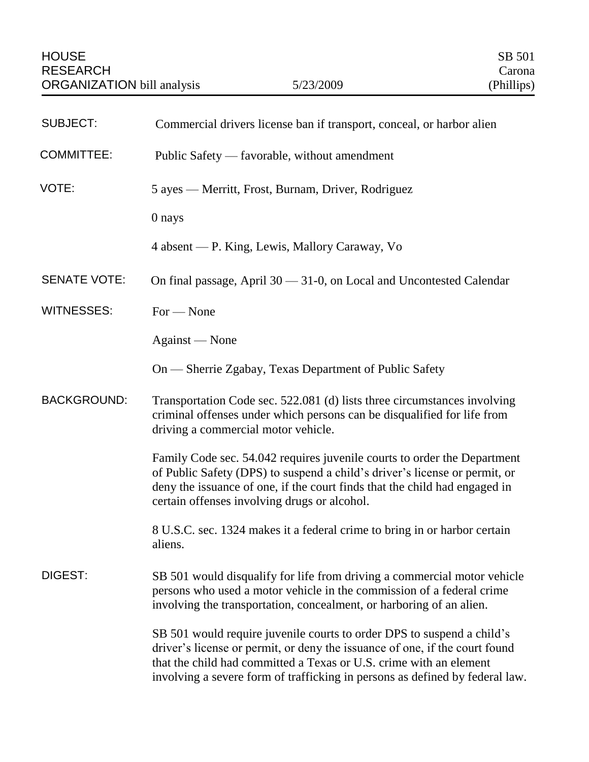| <b>SUBJECT:</b>     | Commercial drivers license ban if transport, conceal, or harbor alien                                                                                                                                                                                                                                       |
|---------------------|-------------------------------------------------------------------------------------------------------------------------------------------------------------------------------------------------------------------------------------------------------------------------------------------------------------|
| <b>COMMITTEE:</b>   | Public Safety — favorable, without amendment                                                                                                                                                                                                                                                                |
| VOTE:               | 5 ayes — Merritt, Frost, Burnam, Driver, Rodriguez                                                                                                                                                                                                                                                          |
|                     | 0 nays                                                                                                                                                                                                                                                                                                      |
|                     | 4 absent — P. King, Lewis, Mallory Caraway, Vo                                                                                                                                                                                                                                                              |
| <b>SENATE VOTE:</b> | On final passage, April 30 - 31-0, on Local and Uncontested Calendar                                                                                                                                                                                                                                        |
| <b>WITNESSES:</b>   | $For - None$                                                                                                                                                                                                                                                                                                |
|                     | Against — None                                                                                                                                                                                                                                                                                              |
|                     | On — Sherrie Zgabay, Texas Department of Public Safety                                                                                                                                                                                                                                                      |
| <b>BACKGROUND:</b>  | Transportation Code sec. 522.081 (d) lists three circumstances involving<br>criminal offenses under which persons can be disqualified for life from<br>driving a commercial motor vehicle.                                                                                                                  |
|                     | Family Code sec. 54.042 requires juvenile courts to order the Department<br>of Public Safety (DPS) to suspend a child's driver's license or permit, or<br>deny the issuance of one, if the court finds that the child had engaged in<br>certain offenses involving drugs or alcohol.                        |
|                     | 8 U.S.C. sec. 1324 makes it a federal crime to bring in or harbor certain<br>aliens.                                                                                                                                                                                                                        |
| DIGEST:             | SB 501 would disqualify for life from driving a commercial motor vehicle<br>persons who used a motor vehicle in the commission of a federal crime<br>involving the transportation, concealment, or harboring of an alien.                                                                                   |
|                     | SB 501 would require juvenile courts to order DPS to suspend a child's<br>driver's license or permit, or deny the issuance of one, if the court found<br>that the child had committed a Texas or U.S. crime with an element<br>involving a severe form of trafficking in persons as defined by federal law. |